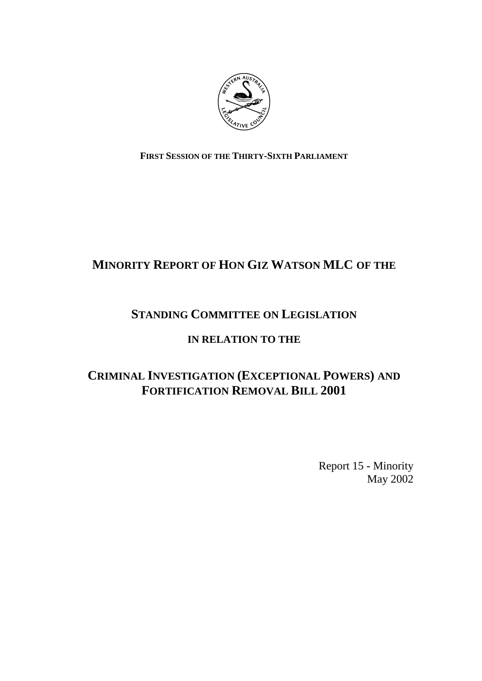

## **FIRST SESSION OF THE THIRTY-SIXTH PARLIAMENT**

# **MINORITY REPORT OF HON GIZ WATSON MLC OF THE**

# **STANDING COMMITTEE ON LEGISLATION**

## **IN RELATION TO THE**

# **CRIMINAL INVESTIGATION (EXCEPTIONAL POWERS) AND FORTIFICATION REMOVAL BILL 2001**

Report 15 - Minority May 2002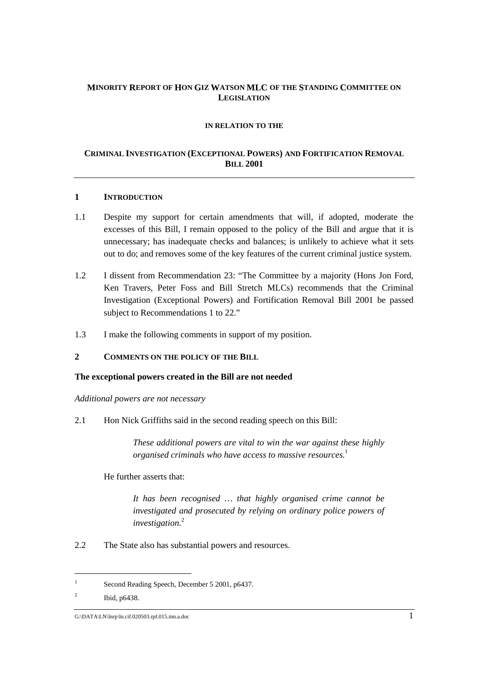#### **MINORITY REPORT OF HON GIZ WATSON MLC OF THE STANDING COMMITTEE ON LEGISLATION**

#### **IN RELATION TO THE**

#### **CRIMINAL INVESTIGATION (EXCEPTIONAL POWERS) AND FORTIFICATION REMOVAL BILL 2001**

#### **1 INTRODUCTION**

- 1.1 Despite my support for certain amendments that will, if adopted, moderate the excesses of this Bill, I remain opposed to the policy of the Bill and argue that it is unnecessary; has inadequate checks and balances; is unlikely to achieve what it sets out to do; and removes some of the key features of the current criminal justice system.
- 1.2 I dissent from Recommendation 23: "The Committee by a majority (Hons Jon Ford, Ken Travers, Peter Foss and Bill Stretch MLCs) recommends that the Criminal Investigation (Exceptional Powers) and Fortification Removal Bill 2001 be passed subject to Recommendations 1 to 22."
- 1.3 I make the following comments in support of my position.

#### **2 COMMENTS ON THE POLICY OF THE BILL**

#### **The exceptional powers created in the Bill are not needed**

*Additional powers are not necessary*

2.1 Hon Nick Griffiths said in the second reading speech on this Bill:

*These additional powers are vital to win the war against these highly organised criminals who have access to massive resources.*<sup>1</sup>

#### He further asserts that:

*It has been recognised … that highly organised crime cannot be investigated and prosecuted by relying on ordinary police powers of investigation.*<sup>2</sup>

2.2 The State also has substantial powers and resources.

<sup>1</sup> Second Reading Speech, December 5 2001, p6437.

 $\overline{2}$ Ibid, p6438.

G:\DATA\LN\lnrp\ln.cif.020503.rpf.015.mn.a.doc 1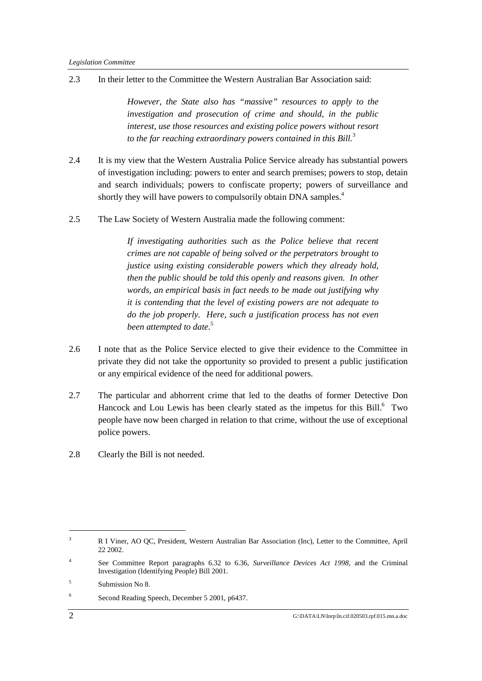2.3 In their letter to the Committee the Western Australian Bar Association said:

*However, the State also has "massive" resources to apply to the investigation and prosecution of crime and should, in the public interest, use those resources and existing police powers without resort to the far reaching extraordinary powers contained in this Bill.*<sup>3</sup>

- 2.4 It is my view that the Western Australia Police Service already has substantial powers of investigation including: powers to enter and search premises; powers to stop, detain and search individuals; powers to confiscate property; powers of surveillance and shortly they will have powers to compulsorily obtain DNA samples.<sup>4</sup>
- 2.5 The Law Society of Western Australia made the following comment:

*If investigating authorities such as the Police believe that recent crimes are not capable of being solved or the perpetrators brought to justice using existing considerable powers which they already hold, then the public should be told this openly and reasons given. In other words, an empirical basis in fact needs to be made out justifying why it is contending that the level of existing powers are not adequate to do the job properly. Here, such a justification process has not even been attempted to date.*<sup>5</sup>

- 2.6 I note that as the Police Service elected to give their evidence to the Committee in private they did not take the opportunity so provided to present a public justification or any empirical evidence of the need for additional powers.
- 2.7 The particular and abhorrent crime that led to the deaths of former Detective Don Hancock and Lou Lewis has been clearly stated as the impetus for this Bill.<sup>6</sup> Two people have now been charged in relation to that crime, without the use of exceptional police powers.
- 2.8 Clearly the Bill is not needed.

<sup>3</sup> R I Viner, AO QC, President, Western Australian Bar Association (Inc), Letter to the Committee, April 22 2002.

<sup>4</sup> See Committee Report paragraphs 6.32 to 6.36, *Surveillance Devices Act 1998*, and the Criminal Investigation (Identifying People) Bill 2001.

<sup>5</sup> Submission No 8.

<sup>6</sup> Second Reading Speech, December 5 2001, p6437.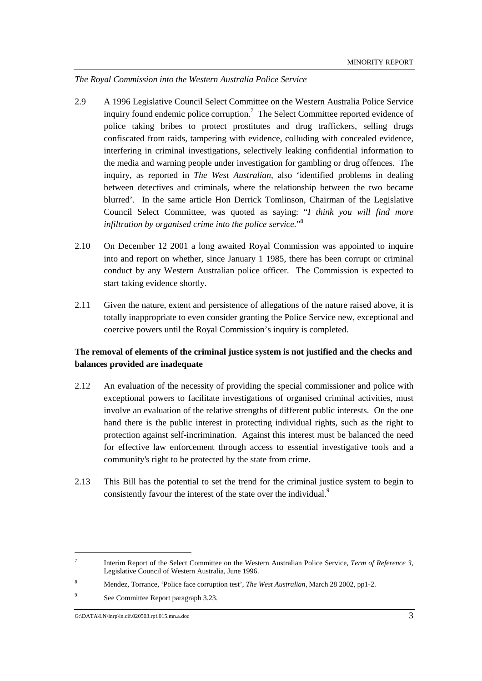*The Royal Commission into the Western Australia Police Service*

- 2.9 A 1996 Legislative Council Select Committee on the Western Australia Police Service inquiry found endemic police corruption.<sup>7</sup> The Select Committee reported evidence of police taking bribes to protect prostitutes and drug traffickers, selling drugs confiscated from raids, tampering with evidence, colluding with concealed evidence, interfering in criminal investigations, selectively leaking confidential information to the media and warning people under investigation for gambling or drug offences. The inquiry, as reported in *The West Australian*, also 'identified problems in dealing between detectives and criminals, where the relationship between the two became blurred'. In the same article Hon Derrick Tomlinson, Chairman of the Legislative Council Select Committee, was quoted as saying: "*I think you will find more infiltration by organised crime into the police service.*" 8
- 2.10 On December 12 2001 a long awaited Royal Commission was appointed to inquire into and report on whether, since January 1 1985, there has been corrupt or criminal conduct by any Western Australian police officer. The Commission is expected to start taking evidence shortly.
- 2.11 Given the nature, extent and persistence of allegations of the nature raised above, it is totally inappropriate to even consider granting the Police Service new, exceptional and coercive powers until the Royal Commission's inquiry is completed.

### **The removal of elements of the criminal justice system is not justified and the checks and balances provided are inadequate**

- 2.12 An evaluation of the necessity of providing the special commissioner and police with exceptional powers to facilitate investigations of organised criminal activities, must involve an evaluation of the relative strengths of different public interests. On the one hand there is the public interest in protecting individual rights, such as the right to protection against self-incrimination. Against this interest must be balanced the need for effective law enforcement through access to essential investigative tools and a community's right to be protected by the state from crime.
- 2.13 This Bill has the potential to set the trend for the criminal justice system to begin to consistently favour the interest of the state over the individual.<sup>9</sup>

<sup>7</sup> Interim Report of the Select Committee on the Western Australian Police Service, *Term of Reference 3,* Legislative Council of Western Australia, June 1996.

<sup>8</sup> Mendez, Torrance, 'Police face corruption test', *The West Australian*, March 28 2002, pp1-2.

<sup>9</sup> See Committee Report paragraph 3.23.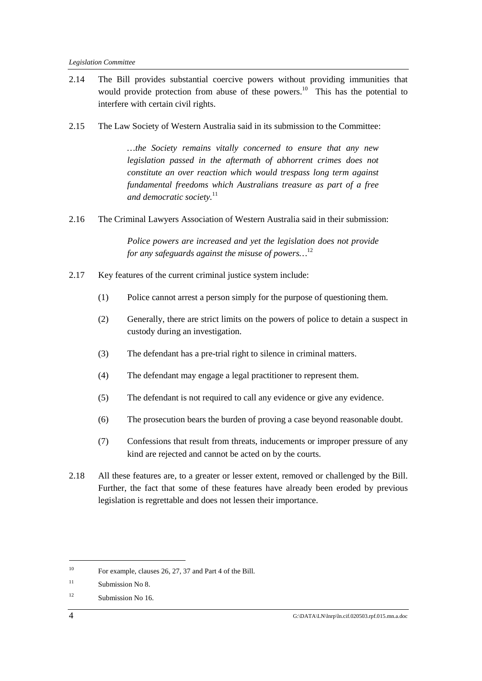- 2.14 The Bill provides substantial coercive powers without providing immunities that would provide protection from abuse of these powers.<sup>10</sup> This has the potential to interfere with certain civil rights.
- 2.15 The Law Society of Western Australia said in its submission to the Committee:

*…the Society remains vitally concerned to ensure that any new legislation passed in the aftermath of abhorrent crimes does not constitute an over reaction which would trespass long term against fundamental freedoms which Australians treasure as part of a free and democratic society.*<sup>11</sup>

2.16 The Criminal Lawyers Association of Western Australia said in their submission:

*Police powers are increased and yet the legislation does not provide for any safeguards against the misuse of powers…*<sup>12</sup>

- 2.17 Key features of the current criminal justice system include:
	- (1) Police cannot arrest a person simply for the purpose of questioning them.
	- (2) Generally, there are strict limits on the powers of police to detain a suspect in custody during an investigation.
	- (3) The defendant has a pre-trial right to silence in criminal matters.
	- (4) The defendant may engage a legal practitioner to represent them.
	- (5) The defendant is not required to call any evidence or give any evidence.
	- (6) The prosecution bears the burden of proving a case beyond reasonable doubt.
	- (7) Confessions that result from threats, inducements or improper pressure of any kind are rejected and cannot be acted on by the courts.
- 2.18 All these features are, to a greater or lesser extent, removed or challenged by the Bill. Further, the fact that some of these features have already been eroded by previous legislation is regrettable and does not lessen their importance.

<sup>10</sup> For example, clauses 26, 27, 37 and Part 4 of the Bill.

 $^{11}$  Submission No 8.

<sup>12</sup> Submission No 16.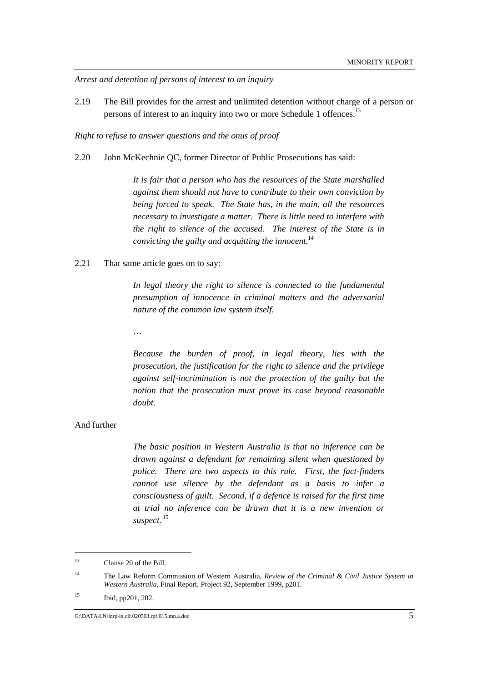*Arrest and detention of persons of interest to an inquiry*

2.19 The Bill provides for the arrest and unlimited detention without charge of a person or persons of interest to an inquiry into two or more Schedule 1 offences.<sup>13</sup>

*Right to refuse to answer questions and the onus of proof*

2.20 John McKechnie QC, former Director of Public Prosecutions has said:

*It is fair that a person who has the resources of the State marshalled against them should not have to contribute to their own conviction by being forced to speak. The State has, in the main, all the resources necessary to investigate a matter. There is little need to interfere with the right to silence of the accused. The interest of the State is in convicting the guilty and acquitting the innocent.*<sup>14</sup>

2.21 That same article goes on to say:

*In legal theory the right to silence is connected to the fundamental presumption of innocence in criminal matters and the adversarial nature of the common law system itself.*

…

*Because the burden of proof, in legal theory, lies with the prosecution, the justification for the right to silence and the privilege against self-incrimination is not the protection of the guilty but the notion that the prosecution must prove its case beyond reasonable doubt.*

#### And further

 $\overline{a}$ 

*The basic position in Western Australia is that no inference can be drawn against a defendant for remaining silent when questioned by police. There are two aspects to this rule. First, the fact-finders cannot use silence by the defendant as a basis to infer a consciousness of guilt. Second, if a defence is raised for the first time at trial no inference can be drawn that it is a new invention or suspect.* <sup>15</sup>

15 Ibid, pp201, 202.

<sup>&</sup>lt;sup>13</sup> Clause 20 of the Bill.

<sup>14</sup> The Law Reform Commission of Western Australia, *Review of the Criminal & Civil Justice System in Western Australia*, Final Report, Project 92, September 1999, p201.

G:\DATA\LN\lnrp\ln.cif.020503.rpf.015.mn.a.doc 5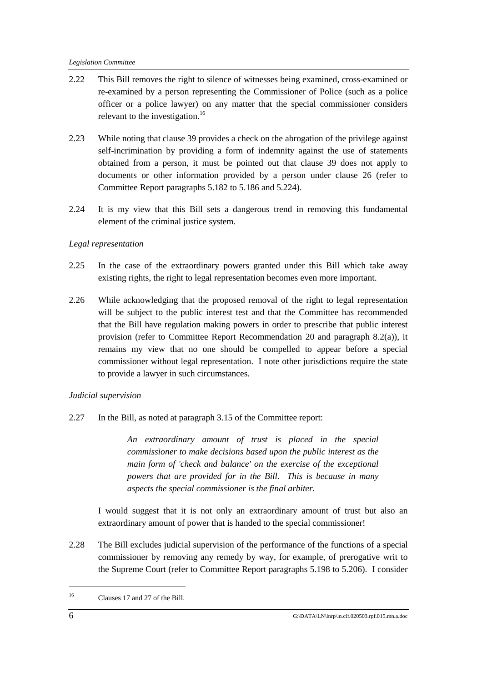#### *Legislation Committee*

- 2.22 This Bill removes the right to silence of witnesses being examined, cross-examined or re-examined by a person representing the Commissioner of Police (such as a police officer or a police lawyer) on any matter that the special commissioner considers relevant to the investigation.<sup>16</sup>
- 2.23 While noting that clause 39 provides a check on the abrogation of the privilege against self-incrimination by providing a form of indemnity against the use of statements obtained from a person, it must be pointed out that clause 39 does not apply to documents or other information provided by a person under clause 26 (refer to Committee Report paragraphs 5.182 to 5.186 and 5.224).
- 2.24 It is my view that this Bill sets a dangerous trend in removing this fundamental element of the criminal justice system.

#### *Legal representation*

- 2.25 In the case of the extraordinary powers granted under this Bill which take away existing rights, the right to legal representation becomes even more important.
- 2.26 While acknowledging that the proposed removal of the right to legal representation will be subject to the public interest test and that the Committee has recommended that the Bill have regulation making powers in order to prescribe that public interest provision (refer to Committee Report Recommendation 20 and paragraph 8.2(a)), it remains my view that no one should be compelled to appear before a special commissioner without legal representation. I note other jurisdictions require the state to provide a lawyer in such circumstances.

### *Judicial supervision*

2.27 In the Bill, as noted at paragraph 3.15 of the Committee report:

*An extraordinary amount of trust is placed in the special commissioner to make decisions based upon the public interest as the main form of 'check and balance' on the exercise of the exceptional powers that are provided for in the Bill. This is because in many aspects the special commissioner is the final arbiter.*

I would suggest that it is not only an extraordinary amount of trust but also an extraordinary amount of power that is handed to the special commissioner!

2.28 The Bill excludes judicial supervision of the performance of the functions of a special commissioner by removing any remedy by way, for example, of prerogative writ to the Supreme Court (refer to Committee Report paragraphs 5.198 to 5.206). I consider

<sup>16</sup> Clauses 17 and 27 of the Bill.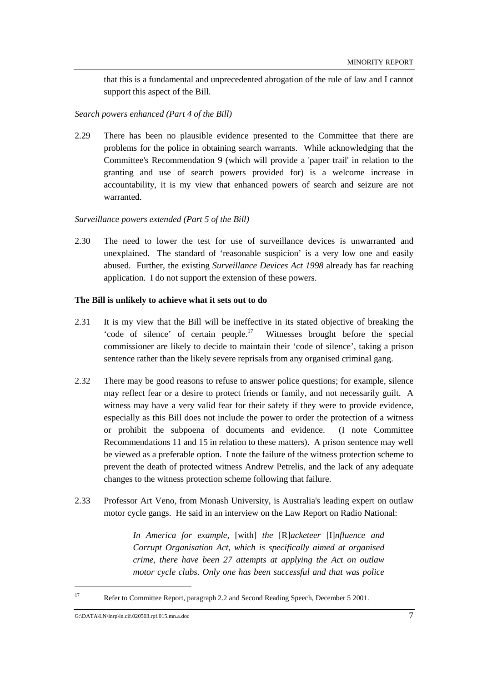that this is a fundamental and unprecedented abrogation of the rule of law and I cannot support this aspect of the Bill.

#### *Search powers enhanced (Part 4 of the Bill)*

2.29 There has been no plausible evidence presented to the Committee that there are problems for the police in obtaining search warrants. While acknowledging that the Committee's Recommendation 9 (which will provide a 'paper trail' in relation to the granting and use of search powers provided for) is a welcome increase in accountability, it is my view that enhanced powers of search and seizure are not warranted.

#### *Surveillance powers extended (Part 5 of the Bill)*

2.30 The need to lower the test for use of surveillance devices is unwarranted and unexplained. The standard of 'reasonable suspicion' is a very low one and easily abused. Further, the existing *Surveillance Devices Act 1998* already has far reaching application. I do not support the extension of these powers.

#### **The Bill is unlikely to achieve what it sets out to do**

- 2.31 It is my view that the Bill will be ineffective in its stated objective of breaking the 'code of silence' of certain people. $17$  Witnesses brought before the special commissioner are likely to decide to maintain their 'code of silence', taking a prison sentence rather than the likely severe reprisals from any organised criminal gang.
- 2.32 There may be good reasons to refuse to answer police questions; for example, silence may reflect fear or a desire to protect friends or family, and not necessarily guilt. A witness may have a very valid fear for their safety if they were to provide evidence, especially as this Bill does not include the power to order the protection of a witness or prohibit the subpoena of documents and evidence. (I note Committee Recommendations 11 and 15 in relation to these matters). A prison sentence may well be viewed as a preferable option. I note the failure of the witness protection scheme to prevent the death of protected witness Andrew Petrelis, and the lack of any adequate changes to the witness protection scheme following that failure.
- 2.33 Professor Art Veno, from Monash University, is Australia's leading expert on outlaw motor cycle gangs. He said in an interview on the Law Report on Radio National:

*In America for example,* [with] *the* [R]*acketeer* [I]*nfluence and Corrupt Organisation Act, which is specifically aimed at organised crime, there have been 27 attempts at applying the Act on outlaw motor cycle clubs. Only one has been successful and that was police*

<sup>17</sup> Refer to Committee Report, paragraph 2.2 and Second Reading Speech, December 5 2001.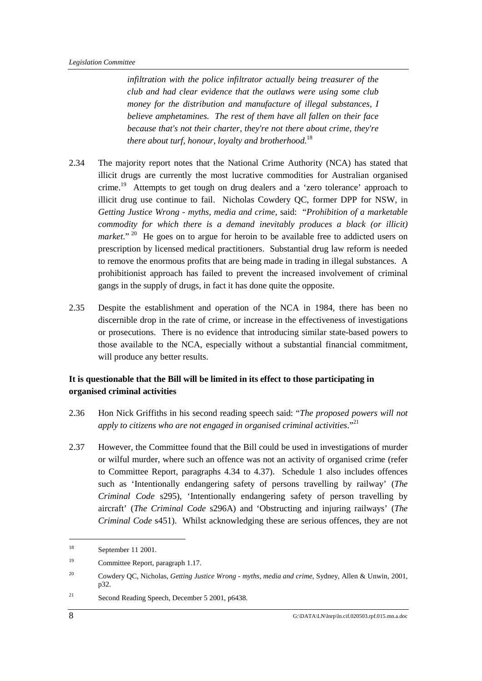*infiltration with the police infiltrator actually being treasurer of the club and had clear evidence that the outlaws were using some club money for the distribution and manufacture of illegal substances, I believe amphetamines. The rest of them have all fallen on their face because that's not their charter, they're not there about crime, they're there about turf, honour, loyalty and brotherhood.*<sup>18</sup>

- 2.34 The majority report notes that the National Crime Authority (NCA) has stated that illicit drugs are currently the most lucrative commodities for Australian organised crime.<sup>19</sup> Attempts to get tough on drug dealers and a 'zero tolerance' approach to illicit drug use continue to fail. Nicholas Cowdery QC, former DPP for NSW, in *Getting Justice Wrong - myths, media and crime,* said: "*Prohibition of a marketable commodity for which there is a demand inevitably produces a black (or illicit)* market."<sup>20</sup> He goes on to argue for heroin to be available free to addicted users on prescription by licensed medical practitioners. Substantial drug law reform is needed to remove the enormous profits that are being made in trading in illegal substances. A prohibitionist approach has failed to prevent the increased involvement of criminal gangs in the supply of drugs, in fact it has done quite the opposite.
- 2.35 Despite the establishment and operation of the NCA in 1984, there has been no discernible drop in the rate of crime, or increase in the effectiveness of investigations or prosecutions. There is no evidence that introducing similar state-based powers to those available to the NCA, especially without a substantial financial commitment, will produce any better results.

### **It is questionable that the Bill will be limited in its effect to those participating in organised criminal activities**

- 2.36 Hon Nick Griffiths in his second reading speech said: "*The proposed powers will not apply to citizens who are not engaged in organised criminal activities*." 21
- 2.37 However, the Committee found that the Bill could be used in investigations of murder or wilful murder, where such an offence was not an activity of organised crime (refer to Committee Report, paragraphs 4.34 to 4.37). Schedule 1 also includes offences such as 'Intentionally endangering safety of persons travelling by railway' (*The Criminal Code* s295), 'Intentionally endangering safety of person travelling by aircraft' (*The Criminal Code* s296A) and 'Obstructing and injuring railways' (*The Criminal Code* s451). Whilst acknowledging these are serious offences, they are not

21 Second Reading Speech, December 5 2001, p6438.

<sup>18</sup> September 11 2001.

<sup>19</sup> Committee Report, paragraph 1.17.

<sup>20</sup> Cowdery QC, Nicholas, *Getting Justice Wrong - myths, media and crime,* Sydney, Allen & Unwin, 2001, p32.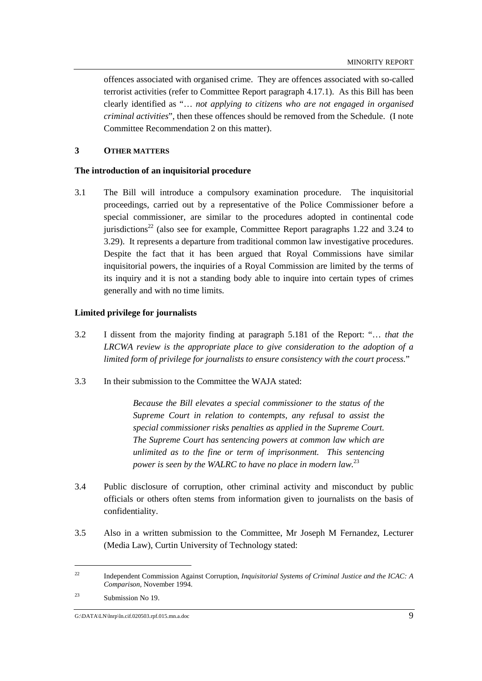offences associated with organised crime. They are offences associated with so-called terrorist activities (refer to Committee Report paragraph 4.17.1). As this Bill has been clearly identified as "… *not applying to citizens who are not engaged in organised criminal activities*", then these offences should be removed from the Schedule. (I note Committee Recommendation 2 on this matter).

#### **3 OTHER MATTERS**

#### **The introduction of an inquisitorial procedure**

3.1 The Bill will introduce a compulsory examination procedure. The inquisitorial proceedings, carried out by a representative of the Police Commissioner before a special commissioner, are similar to the procedures adopted in continental code jurisdictions<sup>22</sup> (also see for example, Committee Report paragraphs 1.22 and 3.24 to 3.29). It represents a departure from traditional common law investigative procedures. Despite the fact that it has been argued that Royal Commissions have similar inquisitorial powers, the inquiries of a Royal Commission are limited by the terms of its inquiry and it is not a standing body able to inquire into certain types of crimes generally and with no time limits.

#### **Limited privilege for journalists**

- 3.2 I dissent from the majority finding at paragraph 5.181 of the Report: "… *that the LRCWA review is the appropriate place to give consideration to the adoption of a limited form of privilege for journalists to ensure consistency with the court process.*"
- 3.3 In their submission to the Committee the WAJA stated:

*Because the Bill elevates a special commissioner to the status of the Supreme Court in relation to contempts, any refusal to assist the special commissioner risks penalties as applied in the Supreme Court. The Supreme Court has sentencing powers at common law which are unlimited as to the fine or term of imprisonment. This sentencing power is seen by the WALRC to have no place in modern law.*<sup>23</sup>

- 3.4 Public disclosure of corruption, other criminal activity and misconduct by public officials or others often stems from information given to journalists on the basis of confidentiality.
- 3.5 Also in a written submission to the Committee, Mr Joseph M Fernandez, Lecturer (Media Law), Curtin University of Technology stated:

<sup>22</sup> Independent Commission Against Corruption, *Inquisitorial Systems of Criminal Justice and the ICAC: A Comparison*, November 1994.

<sup>23</sup> Submission No 19.

G:\DATA\LN\lnrp\ln.cif.020503.rpf.015.mn.a.doc 9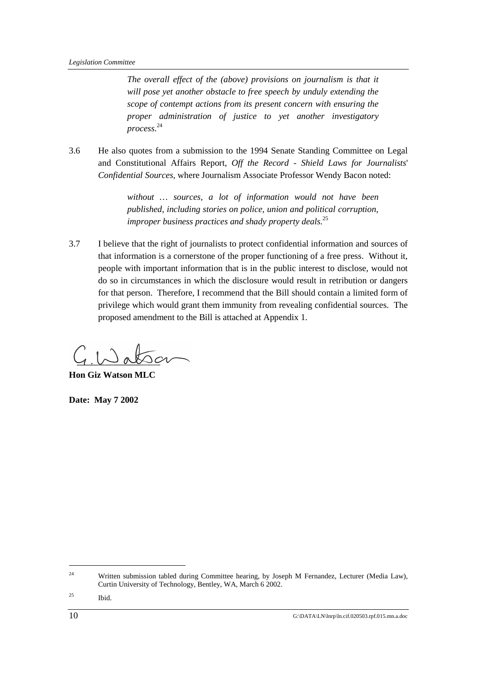*The overall effect of the (above) provisions on journalism is that it will pose yet another obstacle to free speech by unduly extending the scope of contempt actions from its present concern with ensuring the proper administration of justice to yet another investigatory process.* 24

3.6 He also quotes from a submission to the 1994 Senate Standing Committee on Legal and Constitutional Affairs Report, *Off the Record - Shield Laws for Journalists*' *Confidential Sources*, where Journalism Associate Professor Wendy Bacon noted:

> *without … sources, a lot of information would not have been published, including stories on police, union and political corruption, improper business practices and shady property deals.*<sup>25</sup>

3.7 I believe that the right of journalists to protect confidential information and sources of that information is a cornerstone of the proper functioning of a free press. Without it, people with important information that is in the public interest to disclose, would not do so in circumstances in which the disclosure would result in retribution or dangers for that person. Therefore, I recommend that the Bill should contain a limited form of privilege which would grant them immunity from revealing confidential sources. The proposed amendment to the Bill is attached at Appendix 1.

**Hon Giz Watson MLC**

**Date: May 7 2002**

<sup>24</sup> Written submission tabled during Committee hearing, by Joseph M Fernandez, Lecturer (Media Law), Curtin University of Technology, Bentley, WA, March 6 2002.

25 Ibid.